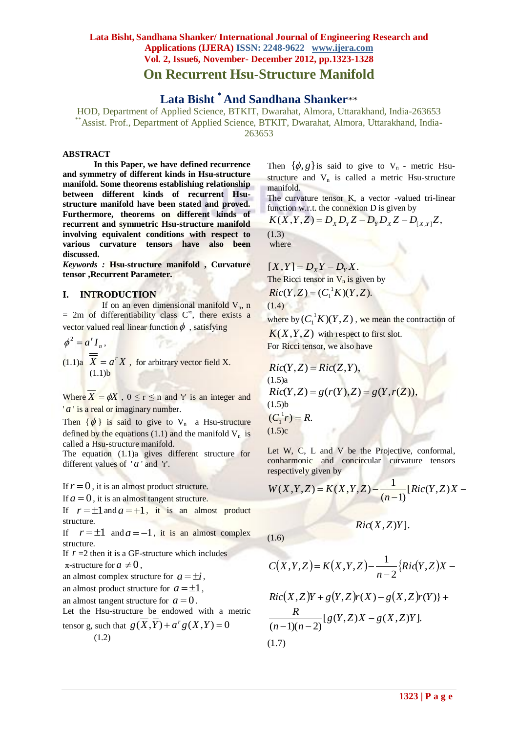**Lata Bisht \* And Sandhana Shanker**\*\*

HOD, Department of Applied Science, BTKIT, Dwarahat, Almora, Uttarakhand, India-263653 \*\*Assist. Prof., Department of Applied Science, BTKIT, Dwarahat, Almora, Uttarakhand, India-263653

### **ABSTRACT**

**In this Paper, we have defined recurrence and symmetry of different kinds in Hsu-structure manifold. Some theorems establishing relationship between different kinds of recurrent Hsustructure manifold have been stated and proved. Furthermore, theorems on different kinds of recurrent and symmetric Hsu-structure manifold involving equivalent conditions with respect to various curvature tensors have also been discussed.**

*Keywords :* **Hsu-structure manifold , Curvature tensor ,Recurrent Parameter.**

### **I. INTRODUCTION**

If on an even dimensional manifold  $V_n$ , n  $= 2m$  of differentiability class  $C^{\infty}$ , there exists a vector valued real linear function  $\phi$ , satisfying

$$
\phi^2 = a^r I_n,
$$

 $(1.1)a \overline{X} = a^r X$ , for arbitrary vector field X.  $(1.1)$ b

Where  $X = \phi X$ ,  $0 \le r \le n$  and 'r' is an integer and ' *a* ' is a real or imaginary number.

Then  $\{\phi\}$  is said to give to V<sub>n</sub> a Hsu-structure defined by the equations (1.1) and the manifold  $V_n$  is called a Hsu-structure manifold.

The equation (1.1)a gives different structure for different values of  $'a$  and 'r'.

If  $r = 0$ , it is an almost product structure.

If  $a = 0$ , it is an almost tangent structure.

If  $r = \pm 1$  and  $a = +1$ , it is an almost product structure.

If  $r = \pm 1$  and  $a = -1$ , it is an almost complex structure.

If  $r = 2$  then it is a GF-structure which includes  $\pi$ -structure for  $a \neq 0$ ,

an almost complex structure for  $a = \pm i$ ,

an almost product structure for  $a = \pm 1$ ,

an almost tangent structure for  $a = 0$ .

Let the Hsu-structure be endowed with a metric tensor g, such that  $g(\overline{X}, \overline{Y}) + a^r g(X, Y) = 0$ 

$$
\text{c}(\mathbf{A}, \mathbf{I}) + a \mathbf{g}(\mathbf{A}, \mathbf{I}) =
$$
\n
$$
(1.2)
$$

Then  $\{\phi, g\}$  is said to give to V<sub>n</sub> - metric Hsustructure and  $V_n$  is called a metric Hsu-structure manifold.

The curvature tensor K, a vector -valued tri-linear function w.r.t. the connexion D is given by

$$
K(X, Y, Z) = D_X D_Y Z - D_Y D_X Z - D_{[X, Y]} Z,
$$
  
(1.3)  
where

 $[X, Y] = D_X Y - D_Y X$ . The Ricci tensor in  $V_n$  is given by  $Ric(Y, Z) = (C_1^T K)(Y, Z).$ 

$$
(1.4)
$$

 $(1.6)$ 

where by  $(C_1^{\{1\}}K)(Y,Z)$ , we mean the contraction of  $K(X, Y, Z)$  with respect to first slot.

For Ricci tensor, we also have

*Ric(Y, Z)* = *Ric(Z, Y)*,  
\n(1.5)  
\n*Ric(Y, Z)* = 
$$
g(r(Y), Z)
$$
 =  $g(Y, r(Z))$ ,  
\n(1.5)  
\n( $C_1^1 r$ ) =  $R$ .  
\n(1.5) $c$ 

Let W, C, L and V be the Projective, conformal, conharmonic and concircular curvature tensors respectively given by

$$
W(X, Y, Z) = K(X, Y, Z) - \frac{1}{(n-1)} [Ric(Y, Z)X -
$$

$$
Ric(X,Z)Y].
$$

$$
C(X,Y,Z)=K(X,Y,Z)-\frac{1}{n-2}\left\{Ric(Y,Z)X-\right\}
$$

$$
Ric(X,Z)Y + g(Y,Z)r(X) - g(X,Z)r(Y) + R
$$
  
\n
$$
\frac{R}{(n-1)(n-2)}[g(Y,Z)X - g(X,Z)Y].
$$
  
\n(1.7)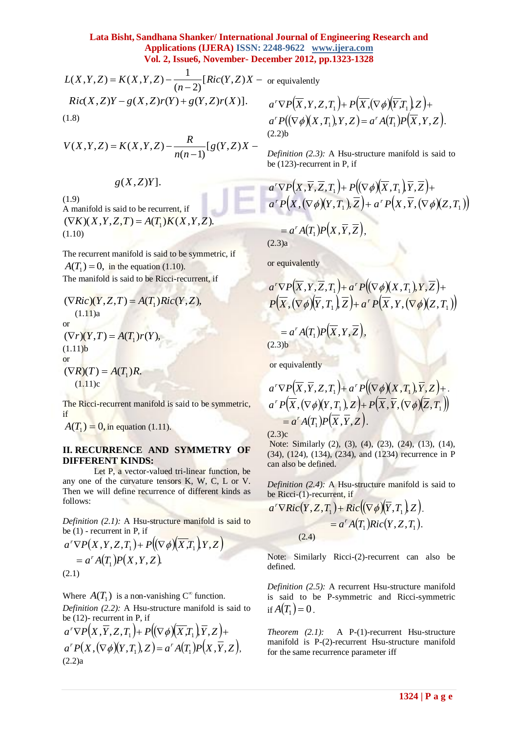$$
L(X, Y, Z) = K(X, Y, Z) - \frac{1}{(n-2)} [Ric(Y, Z)X - \text{ or } \text{etc}]
$$
  
\n
$$
Ric(X, Z)Y - g(X, Z)r(Y) + g(Y, Z)r(X)].
$$

$$
V(X, Y, Z) = K(X, Y, Z) - \frac{R}{n(n-1)} [g(Y, Z)X -
$$

*g*(*X*,*Z*)*Y*].

 (1.9) A manifold is said to be recurrent, if  $(\nabla K)(X, Y, Z, T) = A(T_1)K(X, Y, Z).$ (1.10)

The recurrent manifold is said to be symmetric, if  $A(T_1) = 0$ , in the equation (1.10). The manifold is said to be Ricci-recurrent, if

$$
(\nabla Ric)(Y, Z, T) = A(T_1)Ric(Y, Z),
$$
  
(1.11)<sub>a</sub>  
or  

$$
(\nabla r)(Y, T) = A(T_1)r(Y),
$$
  
(1.11)<sub>b</sub>  
or  

$$
(\nabla R)(T) = A(T_1)R.
$$
  
(1.11)<sub>c</sub>

The Ricci-recurrent manifold is said to be symmetric, if

 $A(T_1) = 0$ , in equation (1.11).

# **II. RECURRENCE AND SYMMETRY OF DIFFERENT KINDS:**

Let P, a vector-valued tri-linear function, be any one of the curvature tensors K, W, C, L or V. Then we will define recurrence of different kinds as follows:

*Definition (2.1):* A Hsu-structure manifold is said to be  $(1)$  - recurrent in P, if

$$
a^{r} \nabla P(X,Y,Z,T_1) + P((\nabla \phi)(\overline{X}T_1),Y,Z)
$$
  
= a^{r} A(T\_1) P(X,Y,Z).  
(2.1)

Where  $A(T_1)$  is a non-vanishing C<sup>∞</sup> function.

*Definition (2.2):* A Hsu-structure manifold is said to be (12)- recurrent in P, if

 $a^r\nabla P(X,\overline{Y},Z,T_1)+P((\nabla\phi)(\overline{X},T_1),\overline{Y},Z)+$  $a^r P(X, (\nabla \phi)(Y,T_1), Z) = a^r A(T_1) P(X,\overline{Y},Z),$ (2.2)a

$$
Z)X -
$$
 or equivalently

$$
a'\nabla P(\overline{X},Y,Z,T_1)+P(\overline{X},(\nabla\phi)(\overline{Y},T_1),Z)+a'P((\nabla\phi)(X,T_1),Y,Z)=a'A(T_1)P(\overline{X},Y,Z).
$$
  
(2.2)b

*Definition (2.3):* A Hsu-structure manifold is said to be (123)-recurrent in P, if

$$
\frac{a'\nabla P(X,\overline{Y},\overline{Z},T_1) + P\big((\nabla\phi)(\overline{X},T_1),\overline{Y},\overline{Z}\big) + a'\,P\big(X,(\nabla\phi)(Y,T_1),\overline{Z}\big) + a'\,P\big(X,\overline{Y},(\nabla\phi)(Z,T_1)\big)}
$$

$$
=a^rA(T_1)P(X,\overline{Y},\overline{Z}),
$$

(2.3)a

or equivalently

$$
\frac{a'\nabla P(\overline{X},Y,\overline{Z},T_1)+a'P((\nabla\phi)(X,T_1),Y,\overline{Z})+P(\overline{X},(\nabla\phi)(\overline{Y},T_1),\overline{Z})+a'P(\overline{X},Y,(\nabla\phi)(Z,T_1))}
$$

$$
=a^r A(T_1) P(\overline{X}, Y, \overline{Z}),
$$

 $(2.3)$ b

or equivalently

$$
a^{r} \nabla P(\overline{X}, \overline{Y}, Z, T_1) + a^{r} P((\nabla \phi)(X, T_1), \overline{Y}, Z) +
$$
  
\n
$$
a^{r} P(\overline{X}, (\nabla \phi)(Y, T_1), Z) + P(\overline{X}, \overline{Y}, (\nabla \phi)(\overline{Z}, T_1))
$$
  
\n
$$
= a^{r} A(T_1) P(\overline{X}, \overline{Y}, Z).
$$

 $(2.3)c$ 

Note: Similarly (2), (3), (4), (23), (24), (13), (14), (34), (124), (134), (234), and (1234) recurrence in P can also be defined.

*Definition (2.4):* A Hsu-structure manifold is said to be Ricci-(1)-recurrent, if

$$
a^{r} \nabla Ric(Y, Z, T_1) + Ric((\nabla \phi)(\overline{Y}, T_1), Z).
$$
  
=  $a^{r} A(T_1) Ric(Y, Z, T_1).$   
(2.4)

Note: Similarly Ricci-(2)-recurrent can also be defined.

*Definition (2.5):* A recurrent Hsu-structure manifold is said to be P-symmetric and Ricci-symmetric if  $A(T_1) = 0$ .

*Theorem (2.1):* A P-(1)-recurrent Hsu-structure manifold is P-(2)-recurrent Hsu-structure manifold for the same recurrence parameter iff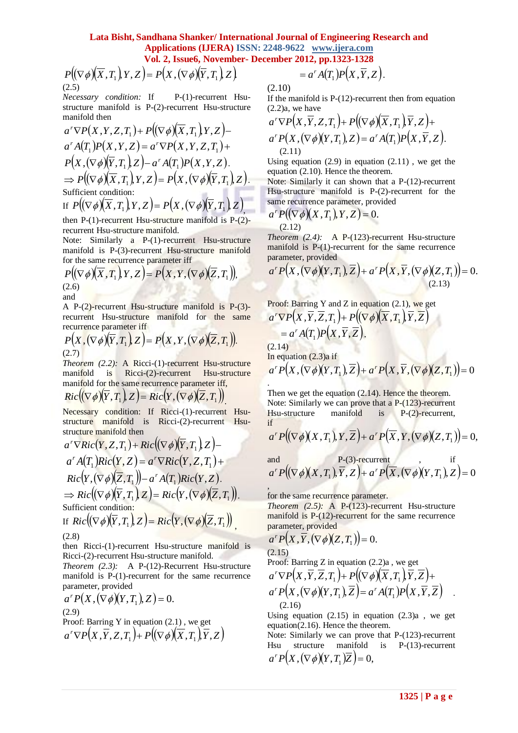$(2.5)$ 

*Necessary condition:* If P-(1)-recurrent Hsustructure manifold is P-(2)-recurrent Hsu-structure manifold then

$$
a^r \nabla P(X,Y,Z,T_1) + P((\nabla \phi)(\overline{X},T_1),Y,Z) -
$$
  
\n
$$
a^r A(T_1) P(X,Y,Z) = a^r \nabla P(X,Y,Z,T_1) +
$$
  
\n
$$
P(X, (\nabla \phi)(\overline{Y},T_1),Z) - a^r A(T_1) P(X,Y,Z).
$$
  
\n
$$
\Rightarrow P((\nabla \phi)(\overline{X},T_1),Y,Z) = P(X, (\nabla \phi)(\overline{Y},T_1),Z).
$$
  
\nSufficient condition:  
\nIf  $P((\nabla \phi)(\overline{X},T_1),Y,Z) = P(X, (\nabla \phi)(\overline{Y},T_1),Z).$ 

then P-(1)-recurrent Hsu-structure manifold is P-(2) recurrent Hsu-structure manifold.

Note: Similarly a P-(1)-recurrent Hsu-structure manifold is P-(3)-recurrent Hsu-structure manifold for the same recurrence parameter iff

$$
P((\nabla \phi)(\overline{X}, T_1), Y, Z) = P(X, Y, (\nabla \phi)(\overline{Z}, T_1)),
$$
\n(2.6)\nand

A P-(2)-recurrent Hsu-structure manifold is P-(3) recurrent Hsu-structure manifold for the same recurrence parameter iff

$$
P(X, (\nabla \phi)(\overline{Y}, T_1), Z) = P(X, Y, (\nabla \phi)(\overline{Z}, T_1)).
$$
\n(2.7)

*Theorem (2.2):* A Ricci-(1)-recurrent Hsu-structure manifold is Ricci-(2)-recurrent Hsu-structure manifold for the same recurrence parameter iff,

$$
Ric((\nabla\phi)(\overline{Y},T_1),Z)=Ric(Y,(\nabla\phi)(\overline{Z},T_1))
$$

Necessary condition: If Ricci-(1)-recurrent Hsustructure manifold is Ricci-(2)-recurrent Hsustructure manifold then

$$
P(\nabla \phi)(X,T,|Y,Z) = P(X,(\nabla \phi)(Y,T,|Z)) = a'A(T,|P(X,Y,Z),\n\text{where manifold is P-(2)-recurrent is-structure manifold:  $P^2(Y,Y,Z,T,|Y,Z) = a'P(X,Y,Z,T,|Y,Z) = a'P(X,Y,Z,T,|Y,Z) = a'P(X,Y,Z,T,|Y,Z) = a'P(X,Y,Z,T,|Y,Z) = a'P(X,Y,Z,T,|Y,Z) = a'P(X,Y,Z,T,|Y,Z) = a'P(X,Y,Z,T,|Y,Z) = a'P(X,Y,Z) = a'P(X,Y,Z,T,|Y,Z) = a'P(X,Y,Z,T,|Y,Z) = a'P(X,Y,Z,T,|Y,Z) = a'P(X,Y,Z,T,|Y,Z) = a'P(X,Y,Z,Y,Z) = a'P(X,Y,Z,Y,Z) = a'P(X,Y,Z,Y,Z) = a'P(X,Y,Z,Y,Z) = a'P(X,Y,Z,Y,Z) = a'P(X,Y,Z,Y,Z) = a'P(X,Y,Z,Y,Z) = a'P(X,Y,Z,Y,Z) = a'P(X,Y,Z,Y,Z) = a'P(X,Y,Z,Y,Z) = a'P(X,Y,Z,Y,Z) = a'P(X,Y,Z,Y,Z) = a'P(X,Y,Z,Y,Z) = a'P(X,Y,Z,Y,Z) = a'P(X,Y,Z,Y,Z) = a'P(X,Y,Z,Y,Z) = a'P(X,Y,Z,Y,Z) = a'P(X,Y,Z,Y,Z) = a'P(X,Y,Z,Y,Z) = a'P(X,Y,Z,Y,Z) = a'P(X,Y,Z,Y,Z,Z) = a'P(X,Y,Z,Y,Z,Z) = a'P(X,Y,Z,Y,Z,Z) = a'P(X,Y,Z,Z,Z) = a'P(X,Y,Z,Z,Z) = a'P(X,Y,Z,Z,Z) = a'P(X,Y,Z,Z,Z) = a'P(X,Y,Z,Z,Z) = a'P(X,Y,Z,Z,Z) = a'P(X,Y,Z,Z,Z) = a'P(X,Y,Z,Z,Z) = a'P(X,Y,Z,Z,Z) = a'P(X,Y,Z,Z,Z) = a'P(X,Y,Z,Z,Z) = a'P(X,Y,Z,Z,Z) = a'P(X,Y,Z,Z,Z) = a'P(X,Y,Z,Z,Z) = a'P(X,Y,Z,Z,Z) = a'P(X,Y,Z,Z,Z) = a'P(X,Y,Z,Z,Z) = a'P(X,Y,Z,Z,Z) = a'P(X,Y,Z,Z,Z) = a'P(X,Y,Z,Z,Z) = a'P(X,Y,Z,Z,Z) = a'P(X,Y,Z,Z,Z) = a'P(X,Y,Z,Z,Z,Z) = a'P(X,Y,Z,Z,Z,Z) = a'P(X,Y,Z,Z,Z,Z) = a'P(X,Y,Z,Z,Z,Z) = a'P(X,Y,Z,Z,Z,Z) = a'P(X,Y,Z,Z,Z,Z) = a'P(X,Y,Z,Z,Z,Z$
$$

(2.8)

then Ricci-(1)-recurrent Hsu-structure manifold is Ricci-(2)-recurrent Hsu-structure manifold.

*Theorem (2.3):* A P-(12)-Recurrent Hsu-structure manifold is P-(1)-recurrent for the same recurrence parameter, provided

$$
a^r P(X, (\nabla \phi)(Y, T_1), Z) = 0.
$$
  
(2.9)  
Proof: Barring Y in equation (2.1), we get

 $a^r \nabla P(X, \overline{Y}, Z, T_1) + P((\nabla \phi)(\overline{X}, T_1), \overline{Y}, Z)$ 

$$
= a^r A(T_1) P(X,\overline{Y},Z).
$$

(2.10)

.

If the manifold is P-(12)-recurrent then from equation  $(2.2)a$ , we have

$$
a'\nabla P(X,\overline{Y},Z,T_1) + P((\nabla \phi)(\overline{X},T_1),\overline{Y},Z) +
$$
  
\n
$$
a'P(X,(\nabla \phi)(Y,T_1),Z) = a'A(T_1)P(X,\overline{Y},Z).
$$
  
\n(2.11)

Using equation  $(2.9)$  in equation  $(2.11)$ , we get the equation (2.10). Hence the theorem.

Note: Similarly it can shown that a P-(12)-recurrent Hsu-structure manifold is P-(2)-recurrent for the same recurrence parameter, provided

$$
a^r P((\nabla \phi)(X,T_1),Y,Z) = 0.
$$
\n(2.12)

*Theorem* (2.4): A P-(123)-recurrent Hsu-structure manifold is P-(1)-recurrent for the same recurrence parameter, provided

$$
a^r P\big(X, (\nabla \phi)(Y, T_1), \overline{Z}\big) + a^r P\big(X, \overline{Y}, (\nabla \phi)(Z, T_1)\big) = 0.
$$
\n(2.13)

Proof: Barring Y and Z in equation (2.1), we get  $a^r\nabla P(X,\overline{Y},\overline{Z},T_1) + P((\nabla\phi)(\overline{X},T_1),\overline{Y},\overline{Z})$  $= a^r A(T_1) P(X, \overline{Y}, \overline{Z}).$  $(2.14)$ In equation  $(2.3)a$  if  $a^r P(X, (\nabla \phi)(Y, T_1), \overline{Z}) + a^r P(X, \overline{Y}, (\nabla \phi)(Z, T_1)) = 0$ 

Then we get the equation  $(2.14)$ . Hence the theorem. Note: Similarly we can prove that a P-(123)-recurrent Hsu-structure manifold is P-(2)-recurrent, if

$$
a^r P((\nabla \phi)(X,T_1), Y, \overline{Z}) + a^r P(\overline{X}, Y, (\nabla \phi)(Z,T_1)) = 0,
$$

and P-(3)-recurrent  
\n
$$
a^r P((\nabla \phi)(X,T_1), \overline{Y}, Z) + a^r P(\overline{X}, (\nabla \phi)(Y,T_1), Z) = 0
$$

, for the same recurrence parameter.

*Theorem (2.5):* A P-(123)-recurrent Hsu-structure manifold is P-(12)-recurrent for the same recurrence parameter, provided

$$
a^r P\big(X,\overline{Y},(\nabla\phi)(Z,T_1)\big)=0.
$$
\n(2.15)

Proof: Barring Z in equation  $(2.2)a$ , we get

$$
a'\nabla P(X,\overline{Y},\overline{Z},T_1) + P((\nabla \phi)(\overline{X},T_1),\overline{Y},\overline{Z}) +a'P(X,(\nabla \phi)(Y,T_1),\overline{Z}) = a' A(T_1) P(X,\overline{Y},\overline{Z}) (2.16)
$$

Using equation  $(2.15)$  in equation  $(2.3)a$ , we get equation(2.16). Hence the theorem.

Note: Similarly we can prove that P-(123)-recurrent Hsu structure manifold is P-(13)-recurrent  $a^r P(X, (\nabla \phi)(Y, T_1)Z) = 0,$ 

.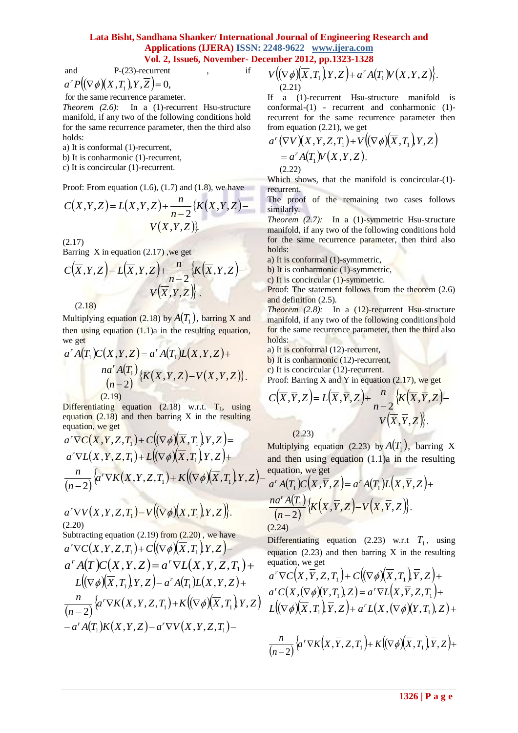and P-(23)-recurrent , if

$$
a^r P\big((\nabla \phi)(X,T_1),Y,\overline{Z}\big) = 0,
$$

for the same recurrence parameter.

*Theorem (2.6):* In a (1)-recurrent Hsu-structure manifold, if any two of the following conditions hold for the same recurrence parameter, then the third also holds:

a) It is conformal (1)-recurrent,

b) It is conharmonic (1)-recurrent,

c) It is concircular (1)-recurrent.

Proof: From equation  $(1.6)$ ,  $(1.7)$  and  $(1.8)$ , we have

$$
C(X,Y,Z) = L(X,Y,Z) + \frac{n}{n-2} \{ K(X,Y,Z) - V(X,Y,Z) \}
$$
\n(2.17)

Barring  $X$  in equation  $(2.17)$ , we get

$$
C(\overline{X}, Y, Z) = L(\overline{X}, Y, Z) + \frac{n}{n-2} \{ K(\overline{X}, Y, Z) - V(\overline{X}, Y, Z) \}.
$$
\n(2.18)

Multiplying equation (2.18) by  $A(T_1)$ , barring X and then using equation  $(1.1)$ a in the resulting equation, we get and the state of the state

$$
a^{r} A(T_{1}) C(X, Y, Z) = a^{r} A(T_{1}) L(X, Y, Z) +
$$

$$
\frac{na^{r} A(T_{1})}{(n-2)} \{K(X, Y, Z) - V(X, Y, Z)\}.
$$

$$
(2.19)
$$

Differentiating equation  $(2.18)$  w.r.t.  $T_1$ , using equation  $(2.18)$  and then barring X in the resulting equation, we get **STATISTICS** 

$$
a'\nabla C(X,Y,Z,T_1) + C((\nabla \phi)(\overline{X},T_1),Y,Z) =
$$
  
\n
$$
a'\nabla L(X,Y,Z,T_1) + L((\nabla \phi)(\overline{X},T_1),Y,Z) +
$$
  
\n
$$
\frac{n}{(n-2)}\Big\{a'\nabla K(X,Y,Z,T_1) + K((\nabla \phi)(\overline{X},T_1),Y,Z) -
$$

$$
a'\nabla V(X,Y,Z,T_1)-V((\nabla\phi)(\overline{X},T_1)Y,Z).
$$
\n(2.20)

Subtracting equation  $(2.19)$  from  $(2.20)$ , we have  $a^r\nabla C(X,Y,Z,T_1)+C((\nabla\phi)(\overline{X},T_1),Y,Z)-$ 

$$
a^r A(T) C(X, Y, Z) = a^r \nabla L(X, Y, Z, T_1) +
$$
  
\n
$$
L((\nabla \phi)(\overline{X}, T_1), Y, Z) - a^r A(T_1) L(X, Y, Z) +
$$
  
\n
$$
\frac{n}{(n-2)} \{a^r \nabla K(X, Y, Z, T_1) + K((\nabla \phi)(\overline{X}, T_1), Y, Z) - a^r A(T_1) K(X, Y, Z) - a^r \nabla V(X, Y, Z, T_1) -
$$

$$
V\big((\nabla\phi)(\overline{X},T_1\big),Y,Z\big)+a^rA(T_1)V(X,Y,Z)\big).
$$
\n(2.21)

If a (1)-recurrent Hsu-structure manifold is conformal-(1) - recurrent and conharmonic (1) recurrent for the same recurrence parameter then from equation (2.21), we get

$$
a^{r}(\nabla V)(X,Y,Z,T_{1})+V((\nabla\phi)(\overline{X},T_{1})Y,Z)
$$
  
= a^{r}A(T\_{1})V(X,Y,Z).  
(2.22)

Which shows, that the manifold is concircular-(1) recurrent.

The proof of the remaining two cases follows similarly.

*Theorem (2.7):* In a (1)-symmetric Hsu-structure manifold, if any two of the following conditions hold for the same recurrence parameter, then third also holds:

a) It is conformal (1)-symmetric,

b) It is conharmonic (1)-symmetric,

c) It is concircular (1)-symmetric.

Proof: The statement follows from the theorem (2.6) and definition (2.5).

*Theorem* (2.8): In a (12)-recurrent Hsu-structure manifold, if any two of the following conditions hold for the same recurrence parameter, then the third also holds:

a) It is conformal (12)-recurrent,

b) It is conharmonic (12)-recurrent,

c) It is concircular (12)-recurrent.

Proof: Barring X and Y in equation  $(2.17)$ , we get

$$
C(\overline{X}, \overline{Y}, Z) = L(\overline{X}, \overline{Y}, Z) + \frac{n}{n-2} \{ K(\overline{X}, \overline{Y}, Z) - K(\overline{X}, \overline{Y}, Z) \}.
$$

(2.23)

Multiplying equation (2.23) by  $A(T_1)$ , barring X and then using equation (1.1)a in the resulting equation, we get

$$
a^r A(T_1)C(X,\overline{Y},Z) = a^r A(T_1)L(X,\overline{Y},Z) +
$$
  

$$
\frac{na^r A(T_1)}{(n-2)} \{K(X,\overline{Y},Z) - V(X,\overline{Y},Z)\}.
$$
  
(2.24)

Differentiating equation (2.23) w.r.t  $T_1$ , using equation  $(2.23)$  and then barring X in the resulting equation, we get

$$
a^{r}\nabla C(X,\overline{Y},Z,T_{1})+C((\nabla \phi)(\overline{X},T_{1}),\overline{Y},Z)+a^{r}C(X,(\nabla \phi)(Y,T_{1}),Z)=a^{r}\nabla L(X,\overline{Y},Z,T_{1})+L((\nabla \phi)(\overline{X},T_{1}),\overline{Y},Z)+a^{r}L(X,(\nabla \phi)(Y,T_{1}),Z)+
$$

$$
\frac{n}{(n-2)}\Big\{a'\nabla K(X,\overline{Y},Z,T_1\Big)+K\big(\big(\nabla\phi\big)^{-1}\overline{X},T_1\big),\overline{Y},Z\big)+
$$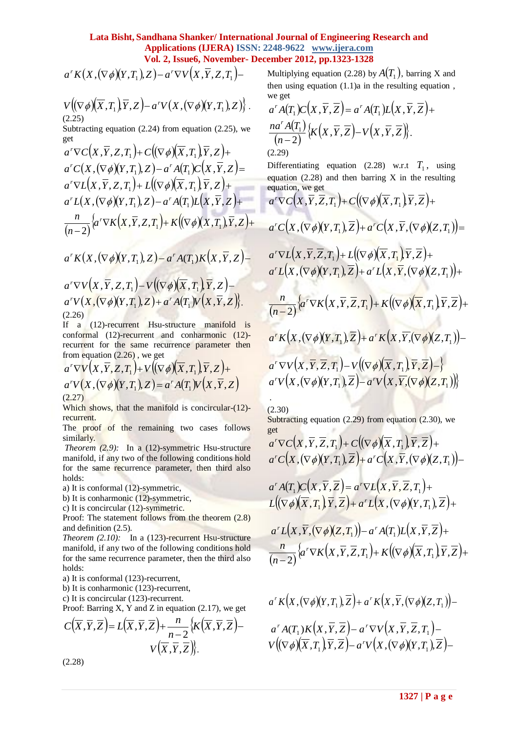$$
a^{r} K(X,(\nabla \phi)(Y,T_1),Z) - a^{r} \nabla V(X,\overline{Y},Z,T_1) -
$$

$$
V\big((\nabla\phi)(\overline{X},T_1)\overline{Y},Z\big)-a'V\big(X,(\nabla\phi)(Y,T_1),Z\big)\big\}\,.
$$
 (2.25)

Subtracting equation  $(2.24)$  from equation  $(2.25)$ , we get

$$
a^r \nabla C(X, \overline{Y}, Z, T_1) + C((\nabla \phi)(\overline{X}, T_1), \overline{Y}, Z) +a^r C(X, (\nabla \phi)(Y, T_1), Z) - a^r A(T_1) C(X, \overline{Y}, Z) =a^r \nabla L(X, \overline{Y}, Z, T_1) + L((\nabla \phi)(\overline{X}, T_1), \overline{Y}, Z) +a^r L(X, (\nabla \phi)(Y, T_1), Z) - a^r A(T_1) L(X, \overline{Y}, Z) +\frac{n}{(n-2)} \Big\{ a^r \nabla K(X, \overline{Y}, Z, T_1) + K((\nabla \phi)(X, T_1), \overline{Y}, Z) +
$$

$$
a^{r} K(X, (\nabla \phi)(Y, T_1), Z) - a^{r} A(T_1) K(X, \overline{Y}, Z) -
$$
  
\n
$$
a^{r} \nabla V(X, \overline{Y}, Z, T_1) - V((\nabla \phi)(\overline{X}, T_1), \overline{Y}, Z) -
$$
  
\n
$$
a^{r} V(X, (\nabla \phi)(Y, T_1), Z) + a^{r} A(T_1) V(X, \overline{Y}, Z) \}.
$$
  
\n(2.26)

If a (12)-recurrent Hsu-structure manifold is conformal (12)-recurrent and conharmonic (12) recurrent for the same recurrence parameter then from equation (2.26) , we get

$$
a' \nabla V(X, \overline{Y}, Z, T_1) + V((\nabla \phi)(\overline{X}, T_1), \overline{Y}, Z) +
$$
  
\n
$$
a' V(X, (\nabla \phi)(Y, T_1), Z) = a' A(T_1) V(X, \overline{Y}, Z)
$$
  
\n(2.27)

Which shows, that the manifold is concircular-(12)recurrent.

The proof of the remaining two cases follows similarly.

*Theorem* (2.9): In a (12)-symmetric Hsu-structure manifold, if any two of the following conditions hold for the same recurrence parameter, then third also holds:

a) It is conformal (12)-symmetric,

b) It is conharmonic (12)-symmetric,

c) It is concircular (12)-symmetric.

Proof: The statement follows from the theorem (2.8) and definition (2.5).

*Theorem* (2.10): In a (123)-recurrent Hsu-structure manifold, if any two of the following conditions hold for the same recurrence parameter, then the third also holds:

a) It is conformal (123)-recurrent,

b) It is conharmonic (123)-recurrent,

c) It is concircular (123)-recurrent.

Proof: Barring X, Y and Z in equation  $(2.17)$ , we get

$$
C(\overline{X}, \overline{Y}, \overline{Z}) = L(\overline{X}, \overline{Y}, \overline{Z}) + \frac{n}{n-2} \{ K(\overline{X}, \overline{Y}, \overline{Z}) - V(\overline{X}, \overline{Y}, \overline{Z}) \}.
$$

Multiplying equation (2.28) by  $A(T_1)$ , barring X and then using equation (1.1)a in the resulting equation , we get

$$
a^r A(T_1)C(X,\overline{Y},\overline{Z}) = a^r A(T_1)L(X,\overline{Y},\overline{Z}) +
$$
  

$$
\frac{na^r A(T_1)}{(n-2)} \{K(X,\overline{Y},\overline{Z}) - V(X,\overline{Y},\overline{Z})\}.
$$
  
(2.29)

Differentiating equation (2.28) w.r.t  $T_1$ , using equation  $(2.28)$  and then barring X in the resulting equation, we get

**1327 | P a g e** *a KX* , *Y*,*T*1 *a CX Y Z T C X T Y Z r* , , , , , , <sup>1</sup> <sup>1</sup> *a CX*, *Y*,*T*<sup>1</sup> ,*Z a CX*,*Y*, *Z*,*T*<sup>1</sup> *r r a LX Y Z T L X T Y Z r* , , , , , , <sup>1</sup> <sup>1</sup> *a LX*, *Y*,*T*<sup>1</sup> , *Z a LX* ,*Y*, *Z*,*T*<sup>1</sup> *r r a K X Y Z T K X T Y Z n n <sup>r</sup>* , , , , , , 2 <sup>1</sup> <sup>1</sup> *a KX* , *Y*,*T*<sup>1</sup> ,*Z a KX* ,*Y*, *Z*,*T*<sup>1</sup> *r r a V X Y Z T V X T Y Z r* , , , , , , <sup>1</sup> <sup>1</sup> *a V X*, *Y*,*T*<sup>1</sup> ,*Z a V X*,*Y*, *Z*,*T*<sup>1</sup> *<sup>r</sup> <sup>r</sup>* .

(2.30)

Subtracting equation (2.29) from equation (2.30), we get

$$
a^{r}\nabla C(X,\overline{Y},\overline{Z},T_1)+C((\nabla\phi)(\overline{X},T_1),\overline{Y},\overline{Z})+a^{r}C(X,(\nabla\phi)(Y,T_1),\overline{Z})+a^{r}C(X,\overline{Y},(\nabla\phi)(Z,T_1))-
$$

$$
a^r A(T_1)C(X,\overline{Y},\overline{Z}) = a^r \nabla L(X,\overline{Y},\overline{Z},T_1) +
$$
  

$$
L((\nabla \phi)(\overline{X},T_1),\overline{Y},\overline{Z}) + a^r L(X,(\nabla \phi)(Y,T_1),\overline{Z}) +
$$

$$
a^{r} L(X, \overline{Y}, (\nabla \phi)(Z, T_1)) - a^{r} A(T_1) L(X, \overline{Y}, \overline{Z}) +
$$
  

$$
\frac{n}{(n-2)} \Big\{ a^{r} \nabla K(X, \overline{Y}, \overline{Z}, T_1) + K((\nabla \phi)(\overline{X}, T_1), \overline{Y}, \overline{Z}) +
$$

$$
a^{r} K\Big(X, (\nabla \phi)(Y, T_{1}), \overline{Z}\Big) + a^{r} K\Big(X, \overline{Y}, (\nabla \phi)(Z, T_{1})\Big) -
$$
  

$$
a^{r} A(T_{1}) K\Big(X, \overline{Y}, \overline{Z}\Big) - a^{r} \nabla V\Big(X, \overline{Y}, \overline{Z}, T_{1}\Big) -
$$
  

$$
V\Big((\nabla \phi)(\overline{X}, T_{1}) \overline{Y}, \overline{Z}\Big) - a^{r} V\Big(X, (\nabla \phi)(Y, T_{1}), \overline{Z}\Big) -
$$

(2.28)